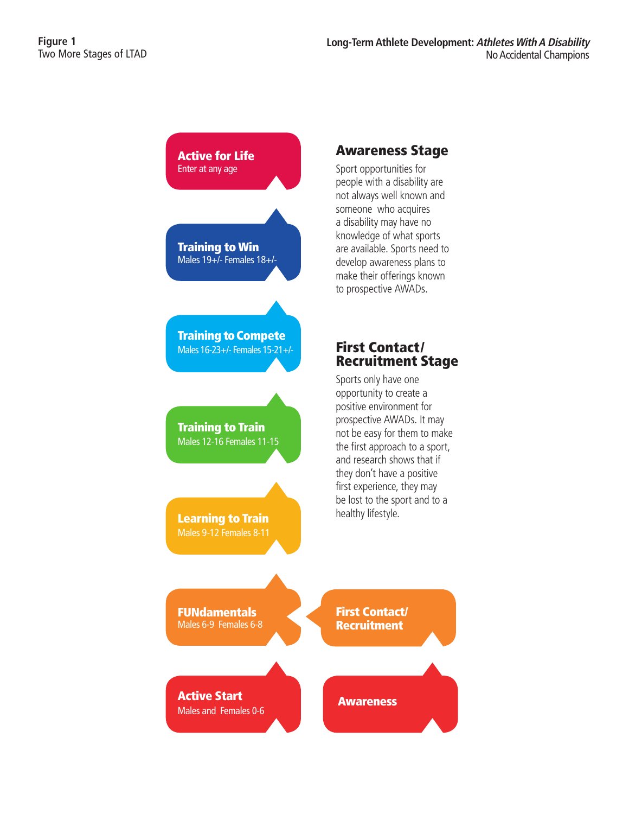